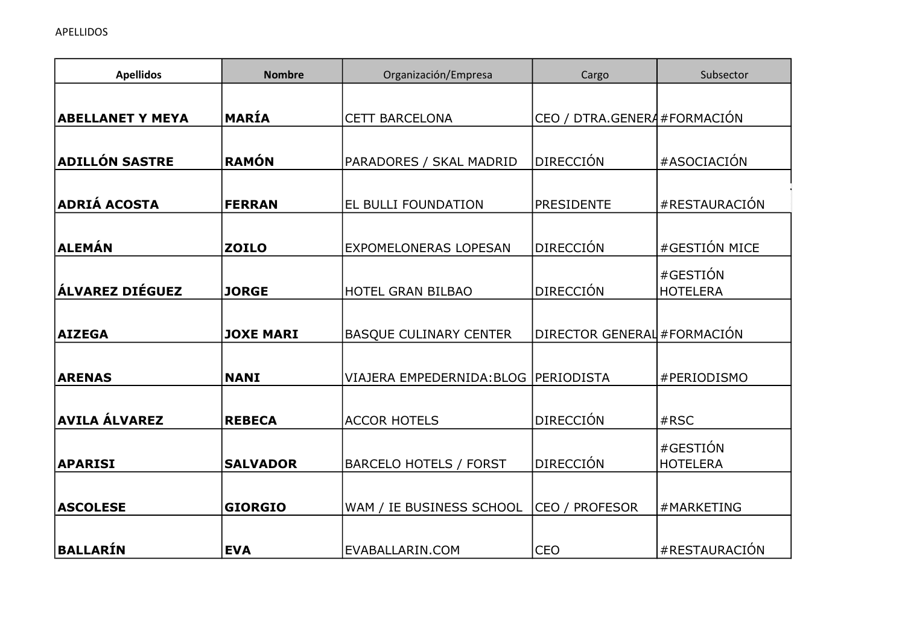| <b>Apellidos</b>        | <b>Nombre</b>    | Organización/Empresa          | Cargo                        | Subsector                   |
|-------------------------|------------------|-------------------------------|------------------------------|-----------------------------|
|                         |                  |                               |                              |                             |
| <b>ABELLANET Y MEYA</b> | MARÍA            | <b>CETT BARCELONA</b>         | CEO / DTRA.GENERA #FORMACIÓN |                             |
| <b>ADILLÓN SASTRE</b>   | RAMÓN            | PARADORES / SKAL MADRID       | <b>DIRECCIÓN</b>             | #ASOCIACIÓN                 |
| <b>ADRIÁ ACOSTA</b>     | <b>FERRAN</b>    | EL BULLI FOUNDATION           | <b>PRESIDENTE</b>            | #RESTAURACIÓN               |
| <b>ALEMÁN</b>           | <b>ZOILO</b>     | <b>EXPOMELONERAS LOPESAN</b>  | <b>DIRECCIÓN</b>             | #GESTIÓN MICE               |
| ÁLVAREZ DIÉGUEZ         | <b>JORGE</b>     | <b>HOTEL GRAN BILBAO</b>      | <b>DIRECCIÓN</b>             | #GESTIÓN<br><b>HOTELERA</b> |
| <b>AIZEGA</b>           | <b>JOXE MARI</b> | <b>BASQUE CULINARY CENTER</b> | DIRECTOR GENERAL #FORMACIÓN  |                             |
| <b>ARENAS</b>           | <b>NANI</b>      | VIAJERA EMPEDERNIDA: BLOG     | PERIODISTA                   | #PERIODISMO                 |
| <b>AVILA ÁLVAREZ</b>    | <b>REBECA</b>    | <b>ACCOR HOTELS</b>           | <b>DIRECCIÓN</b>             | #RSC                        |
| <b>APARISI</b>          | <b>SALVADOR</b>  | <b>BARCELO HOTELS / FORST</b> | <b>DIRECCIÓN</b>             | #GESTIÓN<br><b>HOTELERA</b> |
| <b>ASCOLESE</b>         | <b>GIORGIO</b>   | WAM / IE BUSINESS SCHOOL      | CEO / PROFESOR               | #MARKETING                  |
| BALLARÍN                | <b>EVA</b>       | EVABALLARIN.COM               | <b>CEO</b>                   | #RESTAURACIÓN               |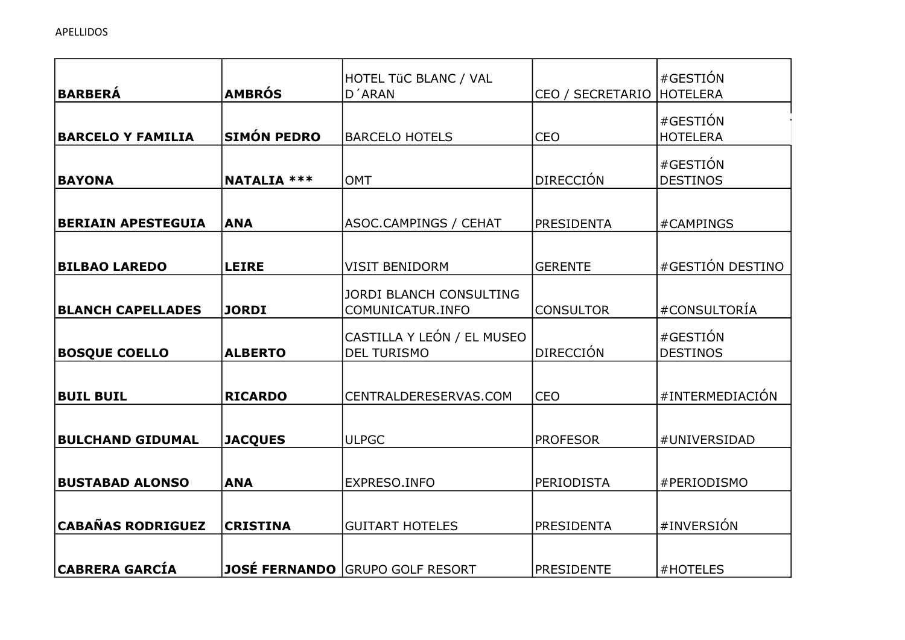| <b>BARBERÁ</b>            | <b>AMBRÓS</b>      | HOTEL TÜC BLANC / VAL<br>D'ARAN                    | CEO / SECRETARIO  | #GESTIÓN<br><b>HOTELERA</b> |
|---------------------------|--------------------|----------------------------------------------------|-------------------|-----------------------------|
| <b>BARCELO Y FAMILIA</b>  | <b>SIMÓN PEDRO</b> | <b>BARCELO HOTELS</b>                              | <b>CEO</b>        | #GESTIÓN<br><b>HOTELERA</b> |
| <b>BAYONA</b>             | <b>NATALIA ***</b> | <b>OMT</b>                                         | <b>DIRECCIÓN</b>  | #GESTIÓN<br><b>DESTINOS</b> |
| <b>BERIAIN APESTEGUIA</b> | <b>ANA</b>         | ASOC.CAMPINGS / CEHAT                              | <b>PRESIDENTA</b> | #CAMPINGS                   |
| <b>BILBAO LAREDO</b>      | <b>LEIRE</b>       | <b>VISIT BENIDORM</b>                              | <b>GERENTE</b>    | #GESTIÓN DESTINO            |
| <b>BLANCH CAPELLADES</b>  | <b>JORDI</b>       | <b>JORDI BLANCH CONSULTING</b><br>COMUNICATUR.INFO | <b>CONSULTOR</b>  | #CONSULTORÍA                |
| <b>BOSQUE COELLO</b>      | <b>ALBERTO</b>     | CASTILLA Y LEÓN / EL MUSEO<br><b>DEL TURISMO</b>   | <b>DIRECCIÓN</b>  | #GESTIÓN<br><b>DESTINOS</b> |
| <b>BUIL BUIL</b>          | <b>RICARDO</b>     | CENTRALDERESERVAS.COM                              | <b>CEO</b>        | #INTERMEDIACIÓN             |
| <b>BULCHAND GIDUMAL</b>   | <b>JACQUES</b>     | <b>ULPGC</b>                                       | <b>PROFESOR</b>   | #UNIVERSIDAD                |
| <b>BUSTABAD ALONSO</b>    | <b>ANA</b>         | EXPRESO.INFO                                       | <b>PERIODISTA</b> | #PERIODISMO                 |
| <b>CABAÑAS RODRIGUEZ</b>  | <b>CRISTINA</b>    | <b>GUITART HOTELES</b>                             | <b>PRESIDENTA</b> | #INVERSIÓN                  |
| <b>CABRERA GARCÍA</b>     |                    | <b>JOSÉ FERNANDO GRUPO GOLF RESORT</b>             | <b>PRESIDENTE</b> | #HOTELES                    |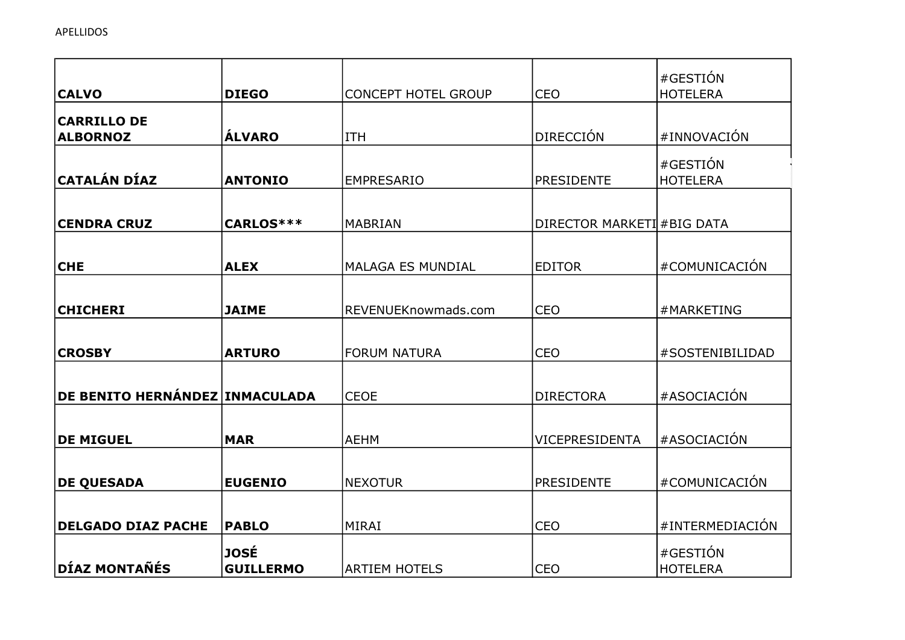|                                |                  |                            |                            | #GESTIÓN        |
|--------------------------------|------------------|----------------------------|----------------------------|-----------------|
| <b>CALVO</b>                   | <b>DIEGO</b>     | <b>CONCEPT HOTEL GROUP</b> | <b>CEO</b>                 | <b>HOTELERA</b> |
| <b>CARRILLO DE</b>             |                  |                            |                            |                 |
| <b>ALBORNOZ</b>                | <b>ÁLVARO</b>    | <b>ITH</b>                 | <b>DIRECCIÓN</b>           | #INNOVACIÓN     |
|                                |                  |                            |                            | #GESTIÓN        |
| <b>CATALÁN DÍAZ</b>            | <b>ANTONIO</b>   | <b>EMPRESARIO</b>          | <b>PRESIDENTE</b>          | <b>HOTELERA</b> |
|                                |                  |                            |                            |                 |
| <b>CENDRA CRUZ</b>             | CARLOS***        | <b>MABRIAN</b>             | DIRECTOR MARKETI #BIG DATA |                 |
|                                |                  |                            |                            |                 |
| <b>CHE</b>                     | <b>ALEX</b>      | <b>MALAGA ES MUNDIAL</b>   | <b>EDITOR</b>              | #COMUNICACIÓN   |
|                                |                  |                            |                            |                 |
| <b>CHICHERI</b>                | <b>JAIME</b>     | REVENUEKnowmads.com        | <b>CEO</b>                 | #MARKETING      |
|                                |                  |                            |                            |                 |
| <b>CROSBY</b>                  | <b>ARTURO</b>    | <b>FORUM NATURA</b>        | <b>CEO</b>                 | #SOSTENIBILIDAD |
|                                |                  |                            |                            |                 |
| DE BENITO HERNÁNDEZ INMACULADA |                  | <b>CEOE</b>                | <b>DIRECTORA</b>           | #ASOCIACIÓN     |
|                                |                  |                            |                            |                 |
| <b>DE MIGUEL</b>               | <b>MAR</b>       | <b>AEHM</b>                | VICEPRESIDENTA             | #ASOCIACIÓN     |
|                                |                  |                            |                            |                 |
| <b>DE QUESADA</b>              | <b>EUGENIO</b>   | <b>NEXOTUR</b>             | <b>PRESIDENTE</b>          | #COMUNICACIÓN   |
|                                |                  |                            |                            |                 |
| <b>DELGADO DIAZ PACHE</b>      | <b>PABLO</b>     | MIRAI                      | <b>CEO</b>                 | #INTERMEDIACIÓN |
|                                | <b>JOSÉ</b>      |                            |                            | #GESTIÓN        |
| <b>DÍAZ MONTAÑÉS</b>           | <b>GUILLERMO</b> | <b>ARTIEM HOTELS</b>       | <b>CEO</b>                 | <b>HOTELERA</b> |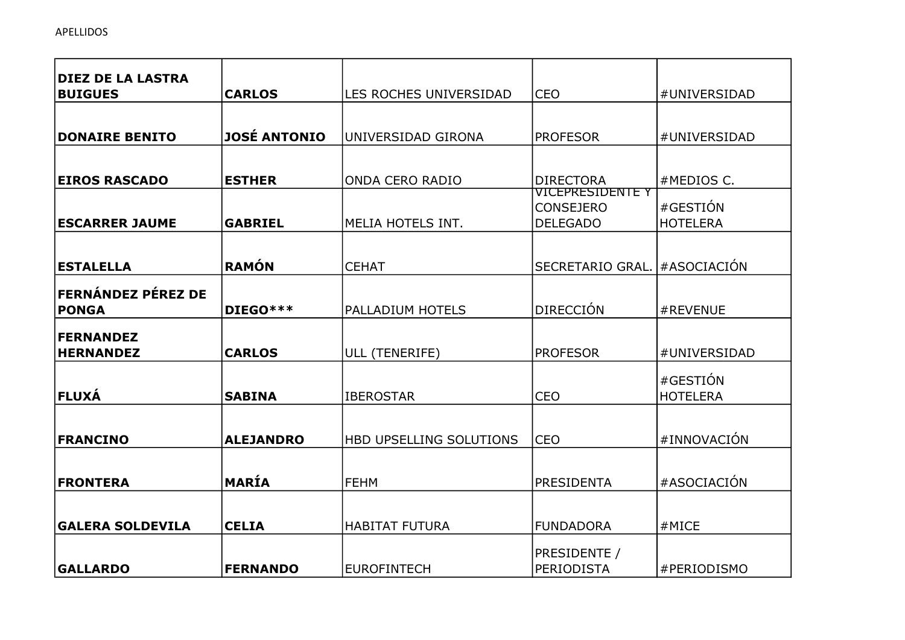| <b>DIEZ DE LA LASTRA</b>  |                     |                         |                                      |                 |
|---------------------------|---------------------|-------------------------|--------------------------------------|-----------------|
| <b>BUIGUES</b>            | <b>CARLOS</b>       | LES ROCHES UNIVERSIDAD  | <b>CEO</b>                           | #UNIVERSIDAD    |
|                           |                     |                         |                                      |                 |
| <b>DONAIRE BENITO</b>     | <b>JOSÉ ANTONIO</b> | UNIVERSIDAD GIRONA      | <b>PROFESOR</b>                      | #UNIVERSIDAD    |
|                           |                     |                         |                                      |                 |
| <b>EIROS RASCADO</b>      | <b>ESTHER</b>       | <b>ONDA CERO RADIO</b>  | <b>DIRECTORA</b>                     | #MEDIOS C.      |
|                           |                     |                         | VICEPRESIDENTE Y<br><b>CONSEJERO</b> | #GESTIÓN        |
| <b>ESCARRER JAUME</b>     | <b>GABRIEL</b>      | MELIA HOTELS INT.       | <b>DELEGADO</b>                      | <b>HOTELERA</b> |
|                           |                     |                         |                                      |                 |
| <b>ESTALELLA</b>          | <b>RAMÓN</b>        | <b>CEHAT</b>            | SECRETARIO GRAL.                     | #ASOCIACIÓN     |
| <b>FERNÁNDEZ PÉREZ DE</b> |                     |                         |                                      |                 |
| <b>PONGA</b>              | DIEGO***            | <b>PALLADIUM HOTELS</b> | <b>DIRECCIÓN</b>                     | #REVENUE        |
|                           |                     |                         |                                      |                 |
| <b>FERNANDEZ</b>          |                     |                         |                                      |                 |
| <b>HERNANDEZ</b>          | <b>CARLOS</b>       | ULL (TENERIFE)          | <b>PROFESOR</b>                      | #UNIVERSIDAD    |
|                           |                     |                         |                                      | #GESTIÓN        |
| <b>FLUXÁ</b>              | <b>SABINA</b>       | <b>IBEROSTAR</b>        | <b>CEO</b>                           | <b>HOTELERA</b> |
|                           |                     |                         |                                      |                 |
| <b>FRANCINO</b>           | <b>ALEJANDRO</b>    | HBD UPSELLING SOLUTIONS | <b>CEO</b>                           | #INNOVACIÓN     |
|                           |                     |                         |                                      |                 |
| <b>FRONTERA</b>           | MARÍA               | <b>FEHM</b>             | <b>PRESIDENTA</b>                    | #ASOCIACIÓN     |
|                           |                     |                         |                                      |                 |
|                           |                     |                         |                                      |                 |
| <b>GALERA SOLDEVILA</b>   | <b>CELIA</b>        | <b>HABITAT FUTURA</b>   | <b>FUNDADORA</b>                     | #MICE           |
|                           |                     |                         | PRESIDENTE /                         |                 |
| <b>GALLARDO</b>           | <b>FERNANDO</b>     | <b>EUROFINTECH</b>      | PERIODISTA                           | #PERIODISMO     |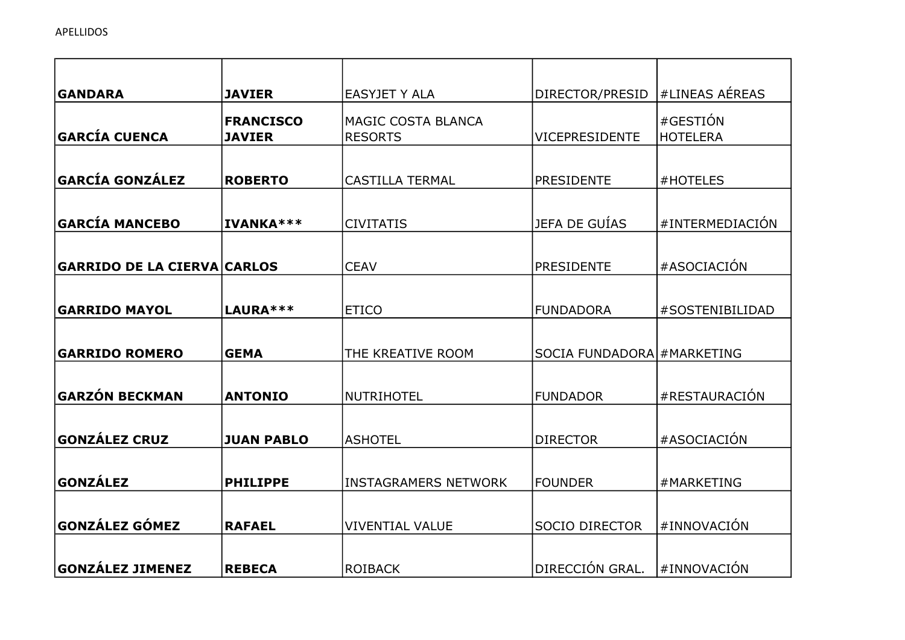| <b>GANDARA</b>                     | <b>JAVIER</b>                     | EASYJET Y ALA                        | DIRECTOR/PRESID             | #LINEAS AÉREAS              |
|------------------------------------|-----------------------------------|--------------------------------------|-----------------------------|-----------------------------|
| <b>GARCÍA CUENCA</b>               | <b>FRANCISCO</b><br><b>JAVIER</b> | MAGIC COSTA BLANCA<br><b>RESORTS</b> | <b>VICEPRESIDENTE</b>       | #GESTIÓN<br><b>HOTELERA</b> |
| <b>GARCÍA GONZÁLEZ</b>             | <b>ROBERTO</b>                    | <b>CASTILLA TERMAL</b>               | <b>PRESIDENTE</b>           | #HOTELES                    |
| <b>GARCÍA MANCEBO</b>              | IVANKA***                         | <b>CIVITATIS</b>                     | JEFA DE GUÍAS               | #INTERMEDIACIÓN             |
| <b>GARRIDO DE LA CIERVA CARLOS</b> |                                   | <b>CEAV</b>                          | <b>PRESIDENTE</b>           | #ASOCIACIÓN                 |
| <b>GARRIDO MAYOL</b>               | LAURA ***                         | <b>ETICO</b>                         | <b>FUNDADORA</b>            | #SOSTENIBILIDAD             |
| <b>GARRIDO ROMERO</b>              | <b>GEMA</b>                       | THE KREATIVE ROOM                    | SOCIA FUNDADORA # MARKETING |                             |
| GARZÓN BECKMAN                     | <b>ANTONIO</b>                    | <b>NUTRIHOTEL</b>                    | <b>FUNDADOR</b>             | #RESTAURACIÓN               |
| <b>GONZÁLEZ CRUZ</b>               | <b>JUAN PABLO</b>                 | <b>ASHOTEL</b>                       | <b>DIRECTOR</b>             | #ASOCIACIÓN                 |
| <b>GONZÁLEZ</b>                    | <b>PHILIPPE</b>                   | <b>INSTAGRAMERS NETWORK</b>          | <b>FOUNDER</b>              | #MARKETING                  |
| <b>GONZÁLEZ GÓMEZ</b>              | <b>RAFAEL</b>                     | <b>VIVENTIAL VALUE</b>               | <b>SOCIO DIRECTOR</b>       | #INNOVACIÓN                 |
| <b>GONZÁLEZ JIMENEZ</b>            | <b>REBECA</b>                     | <b>ROIBACK</b>                       | DIRECCIÓN GRAL.             | #INNOVACIÓN                 |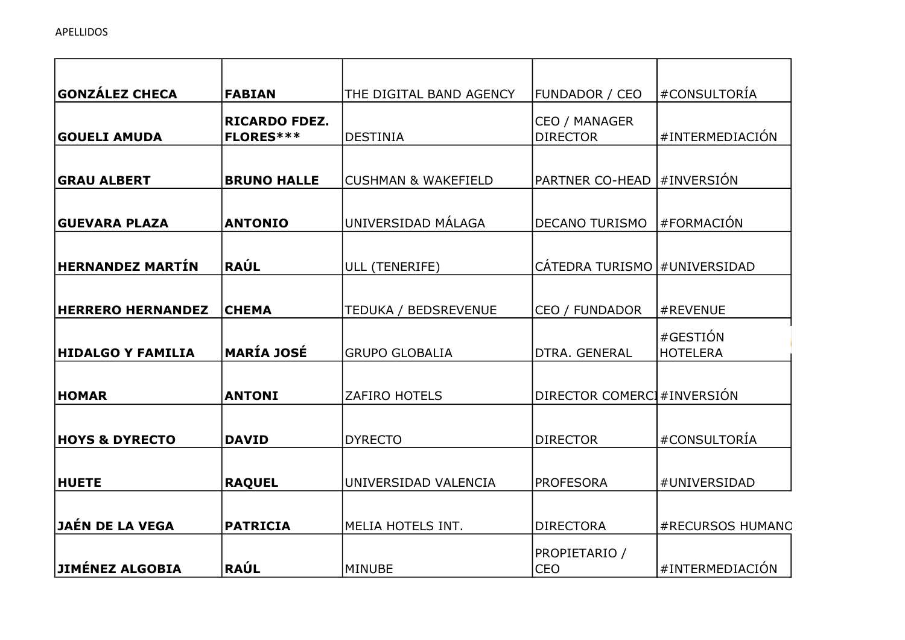| <b>GONZÁLEZ CHECA</b>     | <b>FABIAN</b>                            | THE DIGITAL BAND AGENCY        | <b>FUNDADOR / CEO</b>            | #CONSULTORÍA                |
|---------------------------|------------------------------------------|--------------------------------|----------------------------------|-----------------------------|
| <b>GOUELI AMUDA</b>       | <b>RICARDO FDEZ.</b><br><b>FLORES***</b> | <b>DESTINIA</b>                | CEO / MANAGER<br><b>DIRECTOR</b> | #INTERMEDIACIÓN             |
| <b>GRAU ALBERT</b>        | <b>BRUNO HALLE</b>                       | <b>CUSHMAN &amp; WAKEFIELD</b> | PARTNER CO-HEAD  #INVERSIÓN      |                             |
| <b>GUEVARA PLAZA</b>      | <b>ANTONIO</b>                           | UNIVERSIDAD MÁLAGA             | <b>DECANO TURISMO</b>            | #FORMACIÓN                  |
| <b>HERNANDEZ MARTÍN</b>   | <b>RAÚL</b>                              | ULL (TENERIFE)                 | CÁTEDRA TURISMO #UNIVERSIDAD     |                             |
| <b>HERRERO HERNANDEZ</b>  | <b>CHEMA</b>                             | TEDUKA / BEDSREVENUE           | CEO / FUNDADOR                   | #REVENUE                    |
| <b>HIDALGO Y FAMILIA</b>  | <b>MARÍA JOSÉ</b>                        | <b>GRUPO GLOBALIA</b>          | DTRA. GENERAL                    | #GESTIÓN<br><b>HOTELERA</b> |
| <b>HOMAR</b>              | <b>ANTONI</b>                            | <b>ZAFIRO HOTELS</b>           | DIRECTOR COMERCI #INVERSIÓN      |                             |
| <b>HOYS &amp; DYRECTO</b> | <b>DAVID</b>                             | <b>DYRECTO</b>                 | <b>DIRECTOR</b>                  | #CONSULTORÍA                |
| <b>HUETE</b>              | <b>RAQUEL</b>                            | UNIVERSIDAD VALENCIA           | <b>PROFESORA</b>                 | #UNIVERSIDAD                |
| JAÉN DE LA VEGA           | <b>PATRICIA</b>                          | MELIA HOTELS INT.              | <b>DIRECTORA</b>                 | #RECURSOS HUMANO            |
| JIMÉNEZ ALGOBIA           | <b>RAÚL</b>                              | <b>MINUBE</b>                  | PROPIETARIO /<br><b>CEO</b>      | #INTERMEDIACIÓN             |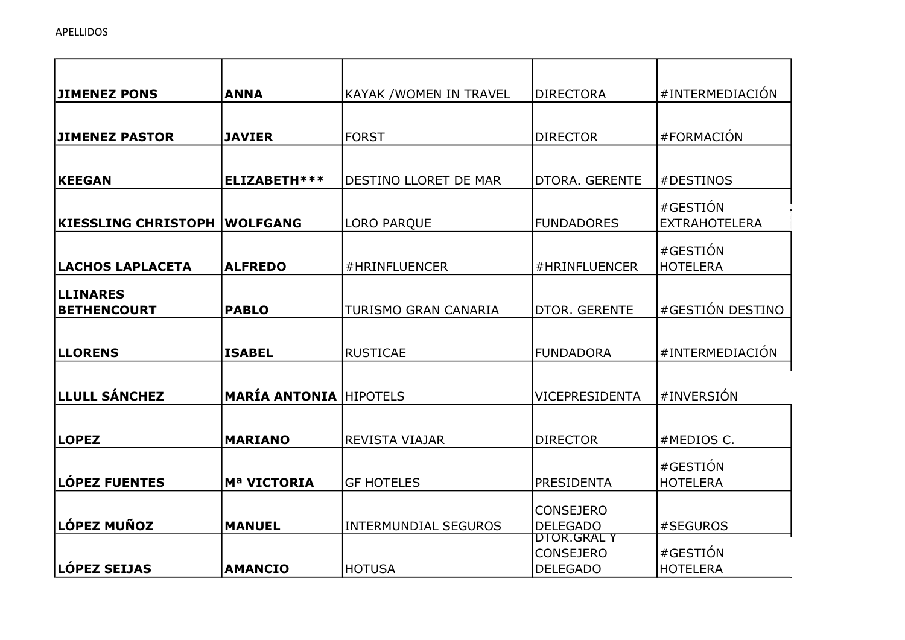| <b>JIMENEZ PONS</b>        | <b>ANNA</b>                   | KAYAK / WOMEN IN TRAVEL     | <b>DIRECTORA</b>                | #INTERMEDIACIÓN      |
|----------------------------|-------------------------------|-----------------------------|---------------------------------|----------------------|
|                            |                               |                             |                                 |                      |
| <b>JIMENEZ PASTOR</b>      | <b>JAVIER</b>                 | <b>FORST</b>                | <b>DIRECTOR</b>                 | #FORMACIÓN           |
|                            |                               |                             |                                 |                      |
| <b>KEEGAN</b>              | ELIZABETH ***                 | DESTINO LLORET DE MAR       | DTORA. GERENTE                  | #DESTINOS            |
|                            |                               |                             |                                 | #GESTIÓN             |
| <b>KIESSLING CHRISTOPH</b> | <b>WOLFGANG</b>               | <b>LORO PARQUE</b>          | <b>FUNDADORES</b>               | <b>EXTRAHOTELERA</b> |
|                            |                               |                             |                                 | #GESTIÓN             |
| LACHOS LAPLACETA           | <b>ALFREDO</b>                | #HRINFLUENCER               | #HRINFLUENCER                   | <b>HOTELERA</b>      |
| <b>LLINARES</b>            |                               |                             |                                 |                      |
| <b>BETHENCOURT</b>         | <b>PABLO</b>                  | TURISMO GRAN CANARIA        | DTOR. GERENTE                   | #GESTIÓN DESTINO     |
|                            |                               |                             |                                 |                      |
| <b>LLORENS</b>             | <b>ISABEL</b>                 | <b>RUSTICAE</b>             | <b>FUNDADORA</b>                | #INTERMEDIACIÓN      |
|                            |                               |                             |                                 |                      |
| <b>LLULL SÁNCHEZ</b>       | <b>MARÍA ANTONIA HIPOTELS</b> |                             | VICEPRESIDENTA                  | #INVERSIÓN           |
|                            |                               |                             |                                 |                      |
| <b>LOPEZ</b>               | <b>MARIANO</b>                | <b>REVISTA VIAJAR</b>       | <b>DIRECTOR</b>                 | #MEDIOS C.           |
|                            |                               |                             |                                 | #GESTIÓN             |
| LÓPEZ FUENTES              | Mª VICTORIA                   | <b>GF HOTELES</b>           | PRESIDENTA                      | <b>HOTELERA</b>      |
|                            |                               |                             | <b>CONSEJERO</b>                |                      |
| ∣LÓPEZ MUÑOZ               | <b>MANUEL</b>                 | <b>INTERMUNDIAL SEGUROS</b> | <b>DELEGADO</b>                 | #SEGUROS             |
|                            |                               |                             | DTOR.GRAL Y<br><b>CONSEJERO</b> | #GESTIÓN             |
| LÓPEZ SEIJAS               | <b>AMANCIO</b>                | <b>HOTUSA</b>               | <b>DELEGADO</b>                 | <b>HOTELERA</b>      |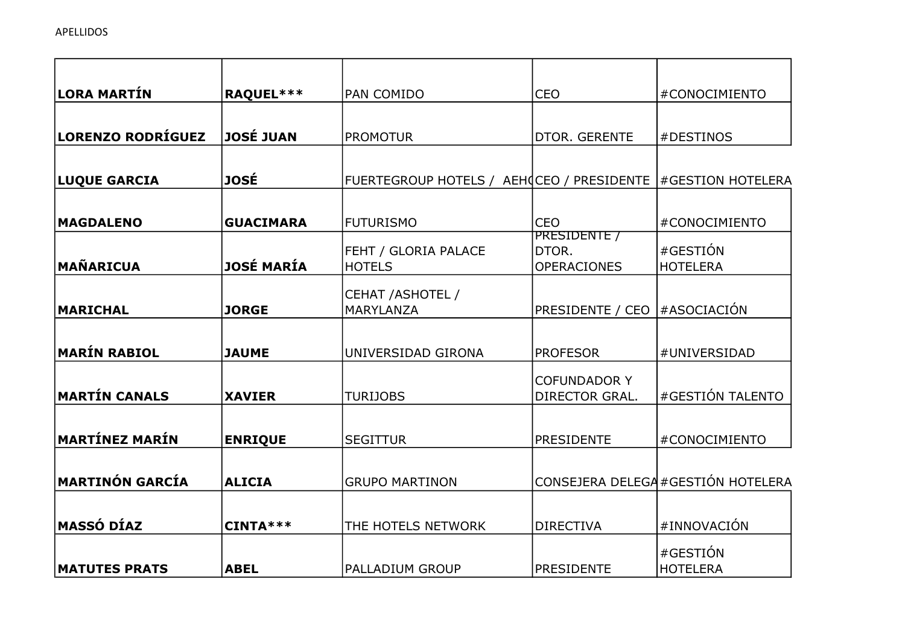| ∣LORA MARTÍN         | RAQUEL***         | PAN COMIDO                                                  | <b>CEO</b>                     | #CONOCIMIENTO                      |
|----------------------|-------------------|-------------------------------------------------------------|--------------------------------|------------------------------------|
|                      |                   |                                                             |                                |                                    |
| LORENZO RODRÍGUEZ    | <b>JOSÉ JUAN</b>  | <b>PROMOTUR</b>                                             | DTOR. GERENTE                  | #DESTINOS                          |
|                      |                   |                                                             |                                |                                    |
| <b>LUQUE GARCIA</b>  | <b>JOSÉ</b>       | FUERTEGROUP HOTELS / AEHOCEO / PRESIDENTE #GESTION HOTELERA |                                |                                    |
|                      |                   |                                                             |                                |                                    |
| <b>MAGDALENO</b>     | <b>GUACIMARA</b>  | <b>FUTURISMO</b>                                            | <b>CEO</b>                     | #CONOCIMIENTO                      |
|                      |                   | FEHT / GLORIA PALACE                                        | PRESIDENTE /<br>DTOR.          | #GESTIÓN                           |
| <b>MAÑARICUA</b>     | <b>JOSÉ MARÍA</b> | <b>HOTELS</b>                                               | <b>OPERACIONES</b>             | <b>HOTELERA</b>                    |
|                      |                   |                                                             |                                |                                    |
| <b>MARICHAL</b>      | <b>JORGE</b>      | CEHAT / ASHOTEL /<br>MARYLANZA                              | PRESIDENTE / CEO   #ASOCIACIÓN |                                    |
|                      |                   |                                                             |                                |                                    |
|                      |                   |                                                             |                                |                                    |
| MARÍN RABIOL         | <b>JAUME</b>      | UNIVERSIDAD GIRONA                                          | <b>PROFESOR</b>                | #UNIVERSIDAD                       |
|                      |                   |                                                             | <b>COFUNDADOR Y</b>            |                                    |
| <b>MARTÍN CANALS</b> | <b>XAVIER</b>     | <b>TURIJOBS</b>                                             | DIRECTOR GRAL.                 | #GESTIÓN TALENTO                   |
|                      |                   |                                                             |                                |                                    |
| MARTÍNEZ MARÍN       | <b>ENRIQUE</b>    | <b>SEGITTUR</b>                                             | <b>PRESIDENTE</b>              | #CONOCIMIENTO                      |
|                      |                   |                                                             |                                |                                    |
| MARTINÓN GARCÍA      | <b>ALICIA</b>     | <b>GRUPO MARTINON</b>                                       |                                | CONSEJERA DELEGA #GESTIÓN HOTELERA |
|                      |                   |                                                             |                                |                                    |
| MASSÓ DÍAZ           | CINTA***          | THE HOTELS NETWORK                                          | <b>DIRECTIVA</b>               | #INNOVACIÓN                        |
|                      |                   |                                                             |                                | #GESTIÓN                           |
| <b>MATUTES PRATS</b> | <b>ABEL</b>       | PALLADIUM GROUP                                             | <b>PRESIDENTE</b>              | <b>HOTELERA</b>                    |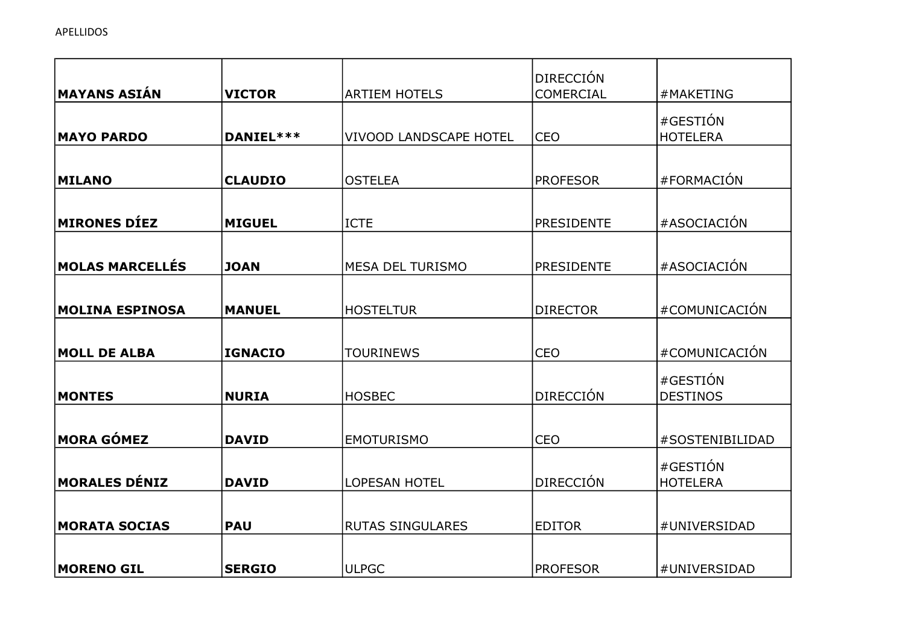| <b>MAYANS ASIÁN</b>    | <b>VICTOR</b>  | <b>ARTIEM HOTELS</b>          | <b>DIRECCIÓN</b><br><b>COMERCIAL</b> | #MAKETING                   |
|------------------------|----------------|-------------------------------|--------------------------------------|-----------------------------|
| <b>MAYO PARDO</b>      | DANIEL ***     | <b>VIVOOD LANDSCAPE HOTEL</b> | <b>CEO</b>                           | #GESTIÓN<br><b>HOTELERA</b> |
| <b>MILANO</b>          | <b>CLAUDIO</b> | <b>OSTELEA</b>                | <b>PROFESOR</b>                      | #FORMACIÓN                  |
|                        |                |                               |                                      |                             |
| <b>MIRONES DÍEZ</b>    | <b>MIGUEL</b>  | ICTE                          | <b>PRESIDENTE</b>                    | #ASOCIACIÓN                 |
| <b>MOLAS MARCELLÉS</b> | <b>JOAN</b>    | <b>MESA DEL TURISMO</b>       | <b>PRESIDENTE</b>                    | #ASOCIACIÓN                 |
| <b>MOLINA ESPINOSA</b> | <b>MANUEL</b>  | <b>HOSTELTUR</b>              | <b>DIRECTOR</b>                      | #COMUNICACIÓN               |
| <b>MOLL DE ALBA</b>    | <b>IGNACIO</b> | <b>TOURINEWS</b>              | <b>CEO</b>                           | #COMUNICACIÓN               |
| <b>MONTES</b>          | <b>NURIA</b>   | <b>HOSBEC</b>                 | <b>DIRECCIÓN</b>                     | #GESTIÓN<br><b>DESTINOS</b> |
| <b>MORA GÓMEZ</b>      | <b>DAVID</b>   | <b>EMOTURISMO</b>             | <b>CEO</b>                           | #SOSTENIBILIDAD             |
| <b>MORALES DÉNIZ</b>   | <b>DAVID</b>   | <b>LOPESAN HOTEL</b>          | <b>DIRECCIÓN</b>                     | #GESTIÓN<br><b>HOTELERA</b> |
| <b>MORATA SOCIAS</b>   | <b>PAU</b>     | <b>RUTAS SINGULARES</b>       | <b>EDITOR</b>                        | #UNIVERSIDAD                |
| <b>MORENO GIL</b>      | <b>SERGIO</b>  | <b>ULPGC</b>                  | <b>PROFESOR</b>                      | #UNIVERSIDAD                |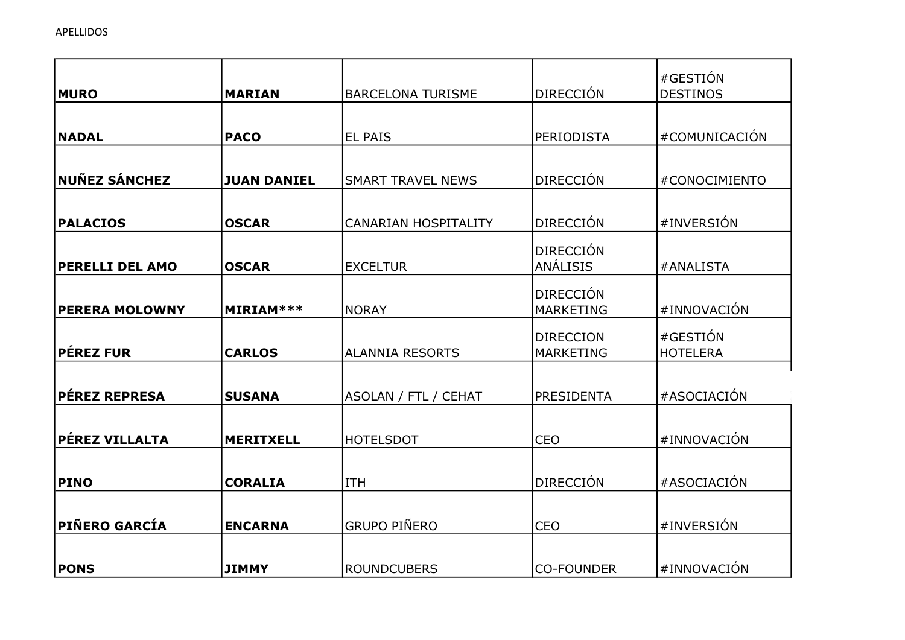| <b>MURO</b>                       | <b>MARIAN</b>      | <b>BARCELONA TURISME</b>    | <b>DIRECCIÓN</b>  | #GESTIÓN<br><b>DESTINOS</b> |
|-----------------------------------|--------------------|-----------------------------|-------------------|-----------------------------|
|                                   |                    |                             |                   |                             |
| <b>NADAL</b>                      | <b>PACO</b>        | <b>EL PAIS</b>              | <b>PERIODISTA</b> | #COMUNICACIÓN               |
|                                   |                    |                             |                   |                             |
| NUÑEZ SÁNCHEZ                     | <b>JUAN DANIEL</b> | <b>SMART TRAVEL NEWS</b>    | <b>DIRECCIÓN</b>  | #CONOCIMIENTO               |
|                                   |                    |                             |                   |                             |
| <b>PALACIOS</b>                   | <b>OSCAR</b>       | <b>CANARIAN HOSPITALITY</b> | <b>DIRECCIÓN</b>  | #INVERSIÓN                  |
|                                   |                    |                             | <b>DIRECCIÓN</b>  |                             |
| <b>PERELLI DEL AMO</b>            | <b>OSCAR</b>       | <b>EXCELTUR</b>             | <b>ANÁLISIS</b>   | #ANALISTA                   |
|                                   |                    |                             | <b>DIRECCIÓN</b>  |                             |
| <b>PERERA MOLOWNY</b>             | MIRIAM ***         | <b>NORAY</b>                | <b>MARKETING</b>  | #INNOVACIÓN                 |
|                                   |                    |                             | <b>DIRECCION</b>  | #GESTIÓN                    |
| $\sf P \acute{\sf E} \sf REZ$ FUR | <b>CARLOS</b>      | <b>ALANNIA RESORTS</b>      | <b>MARKETING</b>  | <b>HOTELERA</b>             |
|                                   |                    |                             |                   |                             |
| <b>PÉREZ REPRESA</b>              | <b>SUSANA</b>      | <b>ASOLAN / FTL / CEHAT</b> | <b>PRESIDENTA</b> | #ASOCIACIÓN                 |
|                                   |                    |                             |                   |                             |
| PÉREZ VILLALTA                    | <b>MERITXELL</b>   | <b>HOTELSDOT</b>            | CEO               | #INNOVACIÓN                 |
|                                   |                    |                             |                   |                             |
| <b>PINO</b>                       | <b>CORALIA</b>     | <b>ITH</b>                  | <b>DIRECCIÓN</b>  | #ASOCIACIÓN                 |
|                                   |                    |                             |                   |                             |
| PIÑERO GARCÍA                     | <b>ENCARNA</b>     | <b>GRUPO PIÑERO</b>         | <b>CEO</b>        | #INVERSIÓN                  |
|                                   |                    |                             |                   |                             |
| <b>PONS</b>                       | <b>JIMMY</b>       | <b>ROUNDCUBERS</b>          | <b>CO-FOUNDER</b> | #INNOVACIÓN                 |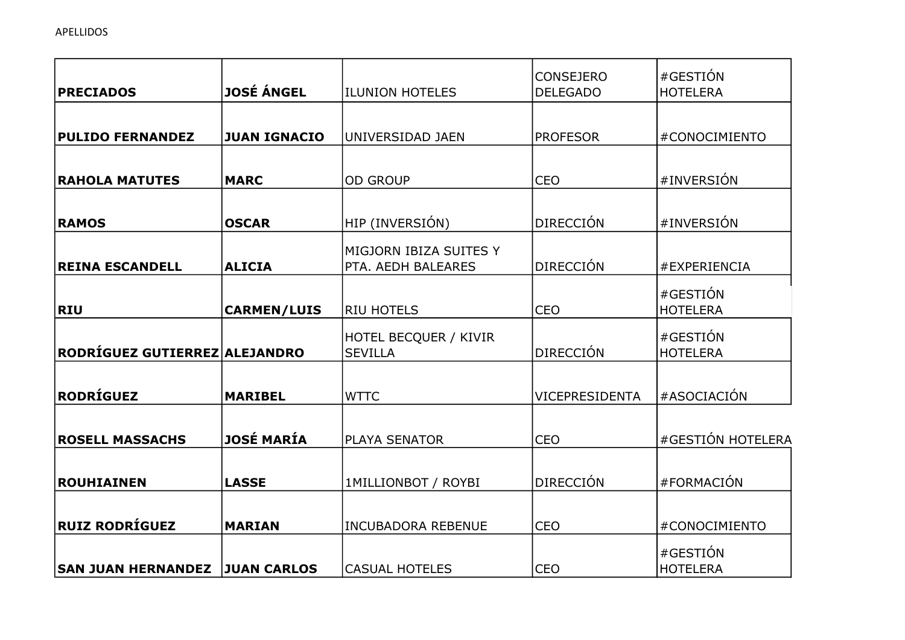|                               |                     |                                              | <b>CONSEJERO</b> | #GESTIÓN                    |
|-------------------------------|---------------------|----------------------------------------------|------------------|-----------------------------|
| <b>PRECIADOS</b>              | <b>JOSÉ ÁNGEL</b>   | <b>ILUNION HOTELES</b>                       | <b>DELEGADO</b>  | <b>HOTELERA</b>             |
| <b>PULIDO FERNANDEZ</b>       | <b>JUAN IGNACIO</b> | UNIVERSIDAD JAEN                             | <b>PROFESOR</b>  | #CONOCIMIENTO               |
|                               |                     |                                              |                  |                             |
| <b>RAHOLA MATUTES</b>         | <b>MARC</b>         | <b>OD GROUP</b>                              | <b>CEO</b>       | #INVERSIÓN                  |
| <b>RAMOS</b>                  | <b>OSCAR</b>        | HIP (INVERSIÓN)                              | <b>DIRECCIÓN</b> | #INVERSIÓN                  |
| <b>REINA ESCANDELL</b>        | <b>ALICIA</b>       | MIGJORN IBIZA SUITES Y<br>PTA. AEDH BALEARES | <b>DIRECCIÓN</b> | #EXPERIENCIA                |
| <b>RIU</b>                    | <b>CARMEN/LUIS</b>  | <b>RIU HOTELS</b>                            | <b>CEO</b>       | #GESTIÓN<br><b>HOTELERA</b> |
| RODRÍGUEZ GUTIERREZ ALEJANDRO |                     | HOTEL BECQUER / KIVIR<br><b>SEVILLA</b>      | <b>DIRECCIÓN</b> | #GESTIÓN<br><b>HOTELERA</b> |
| RODRÍGUEZ                     | <b>MARIBEL</b>      | <b>WTTC</b>                                  | VICEPRESIDENTA   | #ASOCIACIÓN                 |
| <b>ROSELL MASSACHS</b>        | <b>JOSÉ MARÍA</b>   | PLAYA SENATOR                                | <b>CEO</b>       | #GESTIÓN HOTELERA           |
| ROUHIAINEN                    | <b>LASSE</b>        | <b>1MILLIONBOT / ROYBI</b>                   | <b>DIRECCIÓN</b> | #FORMACIÓN                  |
| $ $ RUIZ RODRÍGUEZ            | <b>MARIAN</b>       | <b>INCUBADORA REBENUE</b>                    | <b>CEO</b>       | #CONOCIMIENTO               |
| <b>SAN JUAN HERNANDEZ</b>     | <b>JUAN CARLOS</b>  | <b>CASUAL HOTELES</b>                        | <b>CEO</b>       | #GESTIÓN<br><b>HOTELERA</b> |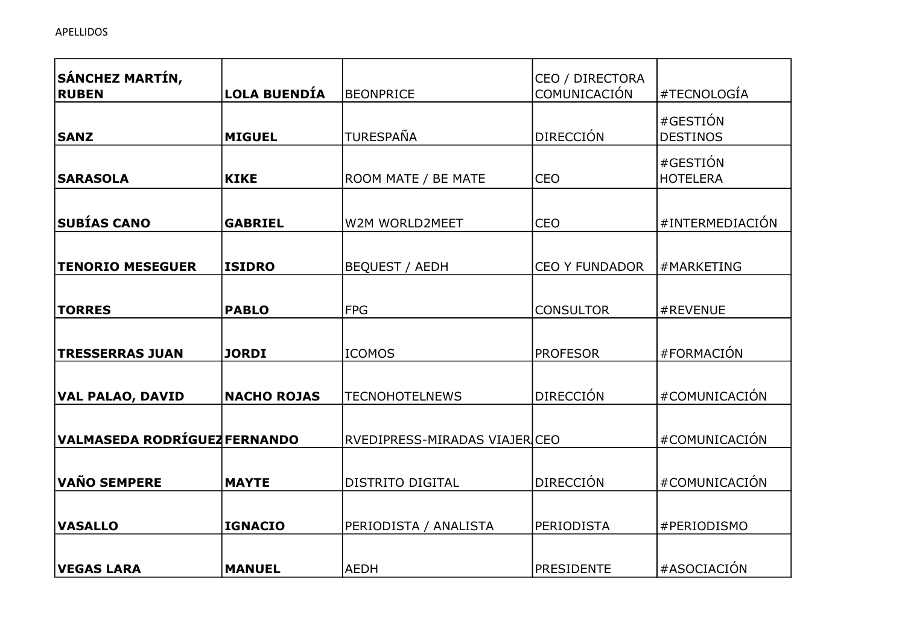| SÁNCHEZ MARTÍN,<br><b>RUBEN</b>     | <b>LOLA BUENDÍA</b> | <b>BEONPRICE</b>              | CEO / DIRECTORA<br>COMUNICACIÓN | #TECNOLOGÍA                 |
|-------------------------------------|---------------------|-------------------------------|---------------------------------|-----------------------------|
| <b>SANZ</b>                         | <b>MIGUEL</b>       | <b>TURESPAÑA</b>              | <b>DIRECCIÓN</b>                | #GESTIÓN<br><b>DESTINOS</b> |
| <b>SARASOLA</b>                     | <b>KIKE</b>         | ROOM MATE / BE MATE           | <b>CEO</b>                      | #GESTIÓN<br><b>HOTELERA</b> |
| <b>SUBÍAS CANO</b>                  | <b>GABRIEL</b>      | W2M WORLD2MEET                | <b>CEO</b>                      | #INTERMEDIACIÓN             |
| <b>TENORIO MESEGUER</b>             | <b>ISIDRO</b>       | <b>BEQUEST / AEDH</b>         | <b>CEO Y FUNDADOR</b>           | #MARKETING                  |
| <b>TORRES</b>                       | <b>PABLO</b>        | FPG                           | <b>CONSULTOR</b>                | #REVENUE                    |
| <b>TRESSERRAS JUAN</b>              | <b>JORDI</b>        | <b>ICOMOS</b>                 | <b>PROFESOR</b>                 | #FORMACIÓN                  |
| <b>VAL PALAO, DAVID</b>             | <b>NACHO ROJAS</b>  | <b>TECNOHOTELNEWS</b>         | <b>DIRECCIÓN</b>                | #COMUNICACIÓN               |
| <b>VALMASEDA RODRÍGUEZ FERNANDO</b> |                     | RVEDIPRESS-MIRADAS VIAJER CEO |                                 | #COMUNICACIÓN               |
| <b>VAÑO SEMPERE</b>                 | <b>MAYTE</b>        | <b>DISTRITO DIGITAL</b>       | <b>DIRECCIÓN</b>                | #COMUNICACIÓN               |
| <b>VASALLO</b>                      | <b>IGNACIO</b>      | PERIODISTA / ANALISTA         | <b>PERIODISTA</b>               | #PERIODISMO                 |
| <b>VEGAS LARA</b>                   | <b>MANUEL</b>       | AEDH                          | <b>PRESIDENTE</b>               | #ASOCIACIÓN                 |